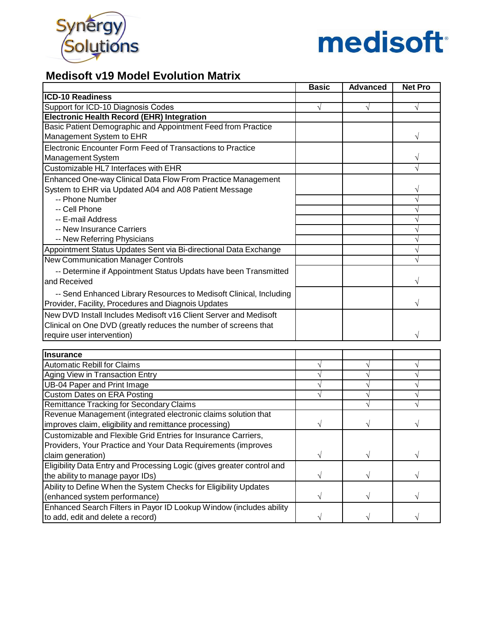



### **Medisoft v19 Model Evolution Matrix**

|                                                                        | <b>Basic</b> | <b>Advanced</b> | <b>Net Pro</b> |
|------------------------------------------------------------------------|--------------|-----------------|----------------|
| <b>ICD-10 Readiness</b>                                                |              |                 |                |
| Support for ICD-10 Diagnosis Codes                                     |              | V               |                |
| <b>Electronic Health Record (EHR) Integration</b>                      |              |                 |                |
| Basic Patient Demographic and Appointment Feed from Practice           |              |                 |                |
| Management System to EHR                                               |              |                 |                |
| Electronic Encounter Form Feed of Transactions to Practice             |              |                 |                |
| Management System                                                      |              |                 |                |
| Customizable HL7 Interfaces with EHR                                   |              |                 |                |
| Enhanced One-way Clinical Data Flow From Practice Management           |              |                 |                |
| System to EHR via Updated A04 and A08 Patient Message                  |              |                 | V              |
| -- Phone Number                                                        |              |                 | $\sqrt{}$      |
| -- Cell Phone                                                          |              |                 | V              |
| -- E-mail Address                                                      |              |                 | V              |
| -- New Insurance Carriers                                              |              |                 | $\sqrt{}$      |
| -- New Referring Physicians                                            |              |                 | $\sqrt{}$      |
| Appointment Status Updates Sent via Bi-directional Data Exchange       |              |                 |                |
| <b>New Communication Manager Controls</b>                              |              |                 |                |
| -- Determine if Appointment Status Updats have been Transmitted        |              |                 |                |
| and Received                                                           |              |                 |                |
| -- Send Enhanced Library Resources to Medisoft Clinical, Including     |              |                 |                |
| Provider, Facility, Procedures and Diagnois Updates                    |              |                 |                |
| New DVD Install Includes Medisoft v16 Client Server and Medisoft       |              |                 |                |
| Clinical on One DVD (greatly reduces the number of screens that        |              |                 |                |
| require user intervention)                                             |              |                 |                |
|                                                                        |              |                 |                |
| Insurance                                                              |              |                 |                |
| <b>Automatic Rebill for Claims</b>                                     | $\sqrt{}$    |                 | $\sqrt{}$      |
| Aging View in Transaction Entry                                        | V            |                 | $\sqrt{}$      |
| UB-04 Paper and Print Image                                            | V            |                 | $\sqrt{}$      |
| <b>Custom Dates on ERA Posting</b>                                     |              |                 |                |
| Remittance Tracking for Secondary Claims                               |              |                 |                |
| Revenue Management (integrated electronic claims solution that         |              |                 |                |
| improves claim, eligibility and remittance processing)                 | V            |                 |                |
| Customizable and Flexible Grid Entries for Insurance Carriers,         |              |                 |                |
| Providers, Your Practice and Your Data Requirements (improves          |              |                 |                |
| claim generation)                                                      | V            |                 |                |
| Eligibility Data Entry and Processing Logic (gives greater control and |              |                 |                |
| the ability to manage payor IDs)                                       | V            | V               | $\sqrt{}$      |
| Ability to Define When the System Checks for Eligibility Updates       |              |                 |                |
| (enhanced system performance)                                          | V            | V               |                |
| Enhanced Search Filters in Payor ID Lookup Window (includes ability    |              |                 |                |
| to add, edit and delete a record)                                      | $\sqrt{}$    | V               | $\sqrt{}$      |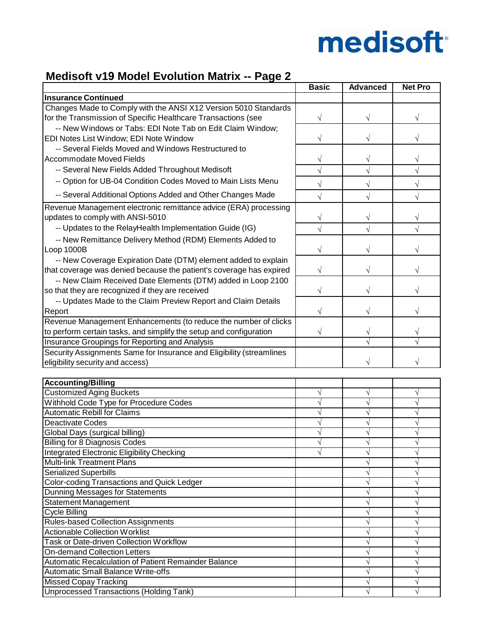

## **Medisoft v19 Model Evolution Matrix -- Page 2**

|                                                                      | <b>Basic</b> | <b>Advanced</b> | <b>Net Pro</b> |
|----------------------------------------------------------------------|--------------|-----------------|----------------|
| <b>Insurance Continued</b>                                           |              |                 |                |
| Changes Made to Comply with the ANSI X12 Version 5010 Standards      |              |                 |                |
| for the Transmission of Specific Healthcare Transactions (see        | V            |                 |                |
| -- New Windows or Tabs: EDI Note Tab on Edit Claim Window;           |              |                 |                |
| EDI Notes List Window; EDI Note Window                               |              |                 |                |
| -- Several Fields Moved and Windows Restructured to                  |              |                 |                |
| Accommodate Moved Fields                                             | V            | V               | V              |
| -- Several New Fields Added Throughout Medisoft                      | $\sqrt{}$    |                 |                |
|                                                                      |              |                 |                |
| -- Option for UB-04 Condition Codes Moved to Main Lists Menu         |              |                 | $\sqrt{ }$     |
| -- Several Additional Options Added and Other Changes Made           |              |                 |                |
| Revenue Management electronic remittance advice (ERA) processing     |              |                 |                |
| updates to comply with ANSI-5010                                     |              |                 |                |
| -- Updates to the RelayHealth Implementation Guide (IG)              |              |                 |                |
| -- New Remittance Delivery Method (RDM) Elements Added to            |              |                 |                |
| Loop 1000B                                                           |              |                 |                |
| -- New Coverage Expiration Date (DTM) element added to explain       |              |                 |                |
| that coverage was denied because the patient's coverage has expired  |              |                 |                |
| -- New Claim Received Date Elements (DTM) added in Loop 2100         |              |                 |                |
| so that they are recognized if they are received                     | V            |                 |                |
| -- Updates Made to the Claim Preview Report and Claim Details        |              |                 |                |
| Report                                                               | V            |                 |                |
| Revenue Management Enhancements (to reduce the number of clicks      |              |                 |                |
| to perform certain tasks, and simplify the setup and configuration   | V            |                 |                |
| Insurance Groupings for Reporting and Analysis                       |              |                 |                |
| Security Assignments Same for Insurance and Eligibility (streamlines |              |                 |                |
| eligibility security and access)                                     |              |                 |                |
|                                                                      |              |                 |                |
| <b>Accounting/Billing</b>                                            |              |                 |                |
| <b>Customized Aging Buckets</b>                                      |              |                 | V              |
| Withhold Code Type for Procedure Codes                               |              |                 | V              |
| <b>Automatic Rebill for Claims</b>                                   |              |                 | √              |
| Deactivate Codes                                                     |              |                 | V              |
| Global Days (surgical billing)                                       |              |                 |                |
| <b>Billing for 8 Diagnosis Codes</b>                                 |              |                 |                |
| <b>Integrated Electronic Eligibility Checking</b>                    |              | $\sqrt{}$       | $\sqrt{}$      |
| <b>Multi-link Treatment Plans</b>                                    |              |                 | V              |
| <b>Serialized Superbills</b>                                         |              |                 | V              |
| <b>Color-coding Transactions and Quick Ledger</b>                    |              |                 | V              |
| Dunning Messages for Statements                                      |              |                 | V              |
| Statement Management                                                 |              |                 | V              |
| Cycle Billing                                                        |              |                 | V              |
| Rules-based Collection Assignments                                   |              |                 | V              |
| <b>Actionable Collection Worklist</b>                                |              |                 | V              |
| <b>Task or Date-driven Collection Workflow</b>                       |              |                 | V              |
| <b>On-demand Collection Letters</b>                                  |              |                 | V              |
| Automatic Recalculation of Patient Remainder Balance                 |              |                 | V              |
| Automatic Small Balance Write-offs                                   |              |                 | V              |
| <b>Missed Copay Tracking</b>                                         |              |                 | V              |
| <b>Unprocessed Transactions (Holding Tank)</b>                       |              |                 | V              |
|                                                                      |              |                 |                |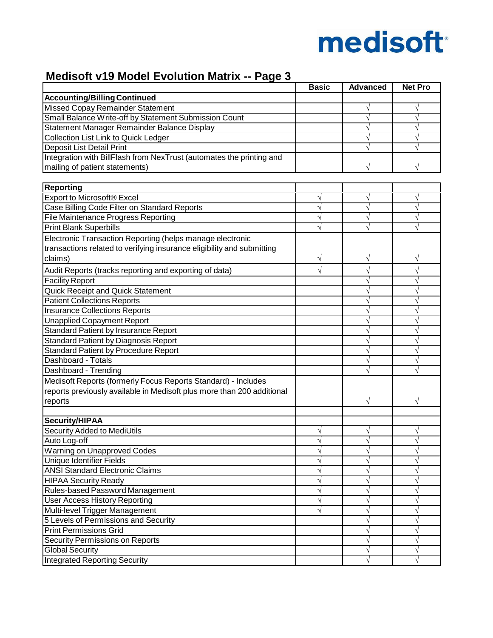

## **Medisoft v19 Model Evolution Matrix -- Page 3**

|                                                                        | <b>Basic</b> | <b>Advanced</b> | <b>Net Pro</b> |
|------------------------------------------------------------------------|--------------|-----------------|----------------|
| <b>Accounting/Billing Continued</b>                                    |              |                 |                |
| <b>Missed Copay Remainder Statement</b>                                |              | V               | V              |
| Small Balance Write-off by Statement Submission Count                  |              |                 | $\sqrt{}$      |
| Statement Manager Remainder Balance Display                            |              |                 | $\sqrt{}$      |
| Collection List Link to Quick Ledger                                   |              |                 | V              |
| Deposit List Detail Print                                              |              |                 |                |
| Integration with BillFlash from NexTrust (automates the printing and   |              |                 |                |
| mailing of patient statements)                                         |              |                 |                |
|                                                                        |              |                 |                |
| <b>Reporting</b>                                                       |              |                 |                |
| Export to Microsoft® Excel                                             |              |                 | V              |
| Case Billing Code Filter on Standard Reports                           |              |                 | $\sqrt{}$      |
| <b>File Maintenance Progress Reporting</b>                             |              |                 | $\sqrt{}$      |
| <b>Print Blank Superbills</b>                                          |              |                 | V              |
| Electronic Transaction Reporting (helps manage electronic              |              |                 |                |
| transactions related to verifying insurance eligibility and submitting |              |                 |                |
| claims)                                                                | V            |                 | V              |
|                                                                        |              |                 |                |
| Audit Reports (tracks reporting and exporting of data)                 |              |                 | $\sqrt{}$      |
| <b>Facility Report</b>                                                 |              |                 | V              |
| Quick Receipt and Quick Statement                                      |              |                 | V              |
| <b>Patient Collections Reports</b>                                     |              |                 | V              |
| <b>Insurance Collections Reports</b>                                   |              |                 | V              |
| <b>Unapplied Copayment Report</b>                                      |              |                 | V              |
| <b>Standard Patient by Insurance Report</b>                            |              |                 | V              |
| <b>Standard Patient by Diagnosis Report</b>                            |              |                 | V              |
| <b>Standard Patient by Procedure Report</b>                            |              |                 | √              |
| Dashboard - Totals                                                     |              |                 | V              |
| Dashboard - Trending                                                   |              |                 | V              |
| Medisoft Reports (formerly Focus Reports Standard) - Includes          |              |                 |                |
| reports previously available in Medisoft plus more than 200 additional |              |                 |                |
| reports                                                                |              |                 |                |
|                                                                        |              |                 |                |
| Security/HIPAA                                                         |              |                 |                |
| Security Added to MediUtils                                            |              |                 |                |
| Auto Log-off                                                           |              |                 |                |
| Warning on Unapproved Codes                                            |              |                 | V              |
| <b>Unique Identifier Fields</b>                                        |              |                 | V              |
| <b>ANSI Standard Electronic Claims</b>                                 |              |                 | V              |
| <b>HIPAA Security Ready</b>                                            |              |                 | V              |
| Rules-based Password Management                                        |              |                 | V              |
| <b>User Access History Reporting</b>                                   |              |                 | V              |
| Multi-level Trigger Management                                         |              |                 | V              |
| 5 Levels of Permissions and Security                                   |              |                 | V              |
| <b>Print Permissions Grid</b>                                          |              |                 | V              |
| <b>Security Permissions on Reports</b>                                 |              |                 | $\sqrt{}$      |
| <b>Global Security</b>                                                 |              |                 | V              |
| <b>Integrated Reporting Security</b>                                   |              |                 | $\sqrt{}$      |